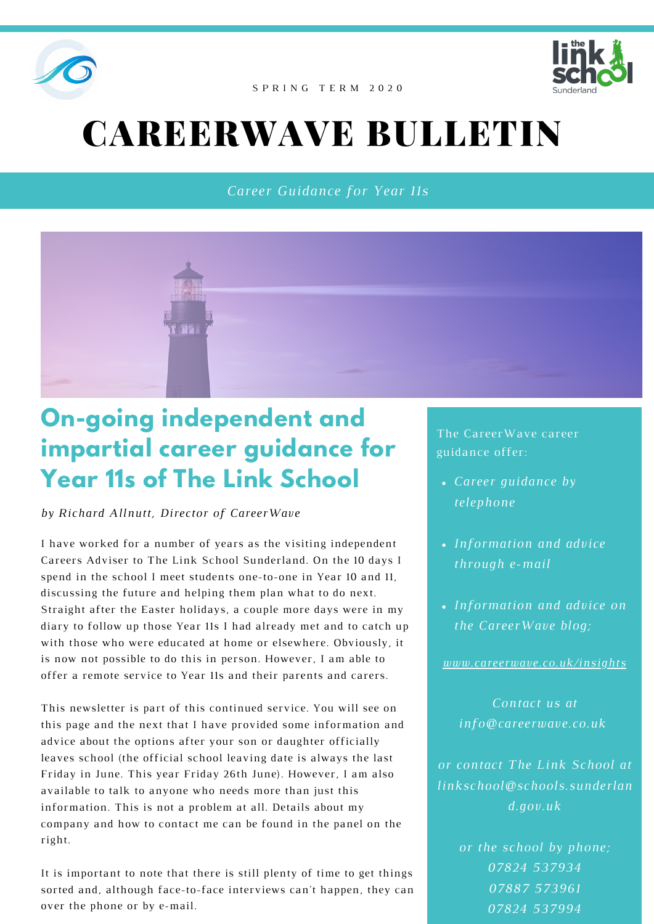



#### S P R I N G T E R M 2 0 2 0

# CAREERWAVE BULLETIN

*Career Guidance for Year 11s*



## **On-going independent and impartial career guidance for Year 11s of The Link School**

*by Richard Allnutt, Director of CareerWave*

I have worked for a number of years as the visiting independent Careers Adviser to The Link School Sunderland. On the 10 days I spend in the school I meet students one-to-one in Year 10 and 11, discussing the future and helping them plan what to do next. Straight after the Easter holidays, a couple more days were in my diary to follow up those Year 11s I had already met and to catch up with those who were educated at home or elsewhere. Obviously, it is now not possible to do this in person. However, I am able to offer a remote service to Year 11s and their parents and carers.

This newsletter is part of this continued service. You will see on this page and the next that I have provided some information and advice about the options after your son or daughter officially leaves school (the official school leaving date is always the last Friday in June. This year Friday 26th June). However, I am also available to talk to anyone who needs more than just this information. This is not a problem at all. Details about my company and how to contact me can be found in the panel on the right.

It is important to note that there is still plenty of time to get things sorted and, although face-to-face interviews can't happen, they can over the phone or by e-mail.

The CareerWave career guidance offer:

- *Career guidance by telephone*
- *Information and advice through e-mail*
- *Information and advice on the CareerWave blog;*

*[www.careerwave.co.uk/insights](http://www.careerwave.co.uk/insights)*

*Contact us at info@careerwave.co.uk*

*or contact The Link School at linkschool@schools.sunderlan d.gov.uk*

> *or the school by phone; 07824 537934 07887 573961 07824 537994*